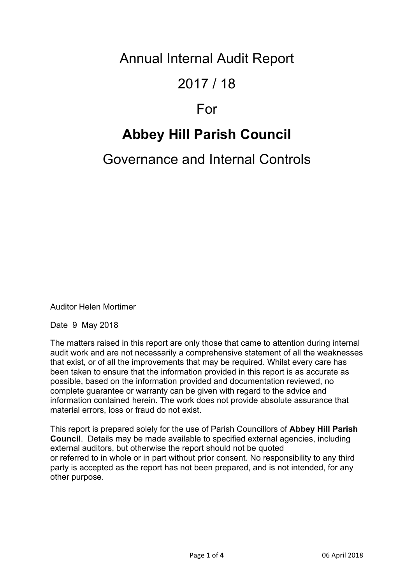Annual Internal Audit Report

### 2017 / 18

## For

# **Abbey Hill Parish Council**

## Governance and Internal Controls

Auditor Helen Mortimer

Date 9 May 2018

The matters raised in this report are only those that came to attention during internal audit work and are not necessarily a comprehensive statement of all the weaknesses that exist, or of all the improvements that may be required. Whilst every care has been taken to ensure that the information provided in this report is as accurate as possible, based on the information provided and documentation reviewed, no complete guarantee or warranty can be given with regard to the advice and information contained herein. The work does not provide absolute assurance that material errors, loss or fraud do not exist.

This report is prepared solely for the use of Parish Councillors of **Abbey Hill Parish Council**. Details may be made available to specified external agencies, including external auditors, but otherwise the report should not be quoted or referred to in whole or in part without prior consent. No responsibility to any third party is accepted as the report has not been prepared, and is not intended, for any other purpose.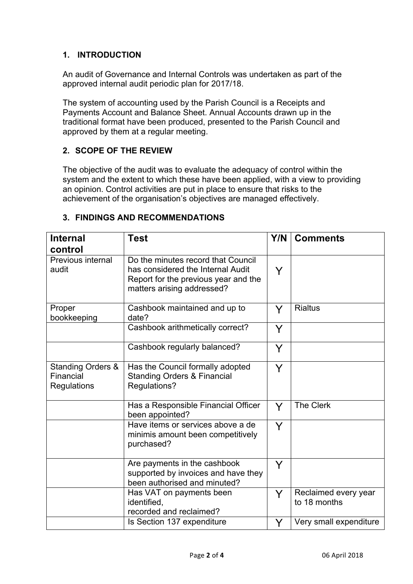#### **1. INTRODUCTION**

An audit of Governance and Internal Controls was undertaken as part of the approved internal audit periodic plan for 2017/18.

The system of accounting used by the Parish Council is a Receipts and Payments Account and Balance Sheet. Annual Accounts drawn up in the traditional format have been produced, presented to the Parish Council and approved by them at a regular meeting.

#### **2. SCOPE OF THE REVIEW**

The objective of the audit was to evaluate the adequacy of control within the system and the extent to which these have been applied, with a view to providing an opinion. Control activities are put in place to ensure that risks to the achievement of the organisation's objectives are managed effectively.

|  | 3. FINDINGS AND RECOMMENDATIONS |  |  |  |  |
|--|---------------------------------|--|--|--|--|
|--|---------------------------------|--|--|--|--|

| <b>Internal</b>                                                 | <b>Test</b>                                                                                                                                   | Y/N | <b>Comments</b>                      |
|-----------------------------------------------------------------|-----------------------------------------------------------------------------------------------------------------------------------------------|-----|--------------------------------------|
| control                                                         |                                                                                                                                               |     |                                      |
| Previous internal<br>audit                                      | Do the minutes record that Council<br>has considered the Internal Audit<br>Report for the previous year and the<br>matters arising addressed? | Y   |                                      |
| Proper<br>bookkeeping                                           | Cashbook maintained and up to<br>date?                                                                                                        | Y   | <b>Rialtus</b>                       |
|                                                                 | Cashbook arithmetically correct?                                                                                                              | Y   |                                      |
|                                                                 | Cashbook regularly balanced?                                                                                                                  | Y   |                                      |
| <b>Standing Orders &amp;</b><br>Financial<br><b>Regulations</b> | Has the Council formally adopted<br><b>Standing Orders &amp; Financial</b><br>Regulations?                                                    | Y   |                                      |
|                                                                 | Has a Responsible Financial Officer<br>been appointed?                                                                                        | Y   | <b>The Clerk</b>                     |
|                                                                 | Have items or services above a de<br>minimis amount been competitively<br>purchased?                                                          | Y   |                                      |
|                                                                 | Are payments in the cashbook<br>supported by invoices and have they<br>been authorised and minuted?                                           | Y   |                                      |
|                                                                 | Has VAT on payments been<br>identified,<br>recorded and reclaimed?                                                                            | Y   | Reclaimed every year<br>to 18 months |
|                                                                 | Is Section 137 expenditure                                                                                                                    | Y   | Very small expenditure               |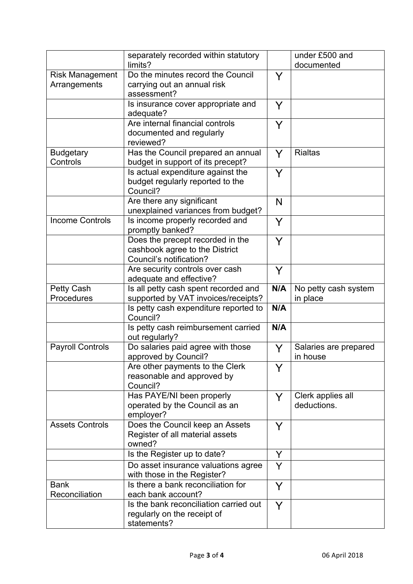|                                        | separately recorded within statutory                                                          |     | under £500 and                    |
|----------------------------------------|-----------------------------------------------------------------------------------------------|-----|-----------------------------------|
|                                        | limits?                                                                                       |     | documented                        |
| <b>Risk Management</b><br>Arrangements | Do the minutes record the Council<br>carrying out an annual risk<br>assessment?               | Y   |                                   |
|                                        | Is insurance cover appropriate and<br>adequate?                                               | Y   |                                   |
|                                        | Are internal financial controls<br>documented and regularly<br>reviewed?                      | Y   |                                   |
| <b>Budgetary</b><br>Controls           | Has the Council prepared an annual<br>budget in support of its precept?                       | Y   | <b>Rialtas</b>                    |
|                                        | Is actual expenditure against the<br>budget regularly reported to the<br>Council?             | Y   |                                   |
|                                        | Are there any significant<br>unexplained variances from budget?                               | N   |                                   |
| <b>Income Controls</b>                 | Is income properly recorded and<br>promptly banked?                                           | Y   |                                   |
|                                        | Does the precept recorded in the<br>cashbook agree to the District<br>Council's notification? | Y   |                                   |
|                                        | Are security controls over cash<br>adequate and effective?                                    | Y   |                                   |
| Petty Cash<br>Procedures               | Is all petty cash spent recorded and<br>supported by VAT invoices/receipts?                   | N/A | No petty cash system<br>in place  |
|                                        | Is petty cash expenditure reported to<br>Council?                                             | N/A |                                   |
|                                        | Is petty cash reimbursement carried<br>out regularly?                                         | N/A |                                   |
| <b>Payroll Controls</b>                | Do salaries paid agree with those<br>approved by Council?                                     | Y   | Salaries are prepared<br>in house |
|                                        | Are other payments to the Clerk<br>reasonable and approved by<br>Council?                     | Y   |                                   |
|                                        | Has PAYE/NI been properly<br>operated by the Council as an<br>employer?                       | Y   | Clerk applies all<br>deductions.  |
| <b>Assets Controls</b>                 | Does the Council keep an Assets<br>Register of all material assets<br>owned?                  | Y   |                                   |
|                                        | Is the Register up to date?                                                                   | Y   |                                   |
|                                        | Do asset insurance valuations agree<br>with those in the Register?                            | Y   |                                   |
| <b>Bank</b><br>Reconciliation          | Is there a bank reconciliation for<br>each bank account?                                      | Y   |                                   |
|                                        | Is the bank reconciliation carried out<br>regularly on the receipt of<br>statements?          | Y   |                                   |